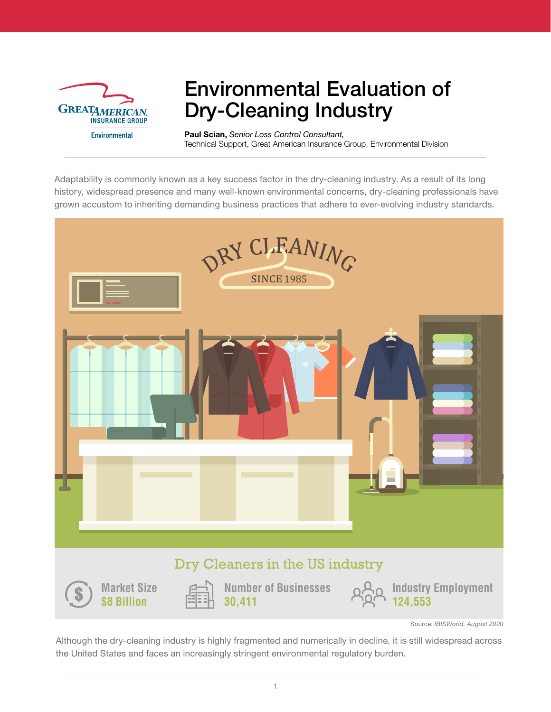

## Environmental Evaluation of Dry-Cleaning Industry

Paul Scian, *Senior Loss Control Consultant,* Technical Support, Great American Insurance Group, Environmental Division

Adaptability is commonly known as a key success factor in the dry-cleaning industry. As a result of its long history, widespread presence and many well-known environmental concerns, dry-cleaning professionals have grown accustom to inheriting demanding business practices that adhere to ever-evolving industry standards.



Source: *IBISWorld, August 2020*

Although the dry-cleaning industry is highly fragmented and numerically in decline, it is still widespread across the United States and faces an increasingly stringent environmental regulatory burden.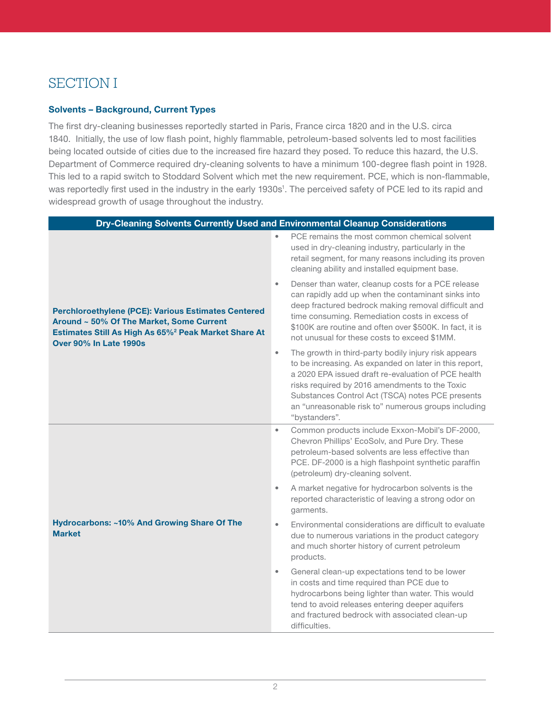## SECTION I

#### Solvents – Background, Current Types

The first dry-cleaning businesses reportedly started in Paris, France circa 1820 and in the U.S. circa 1840. Initially, the use of low flash point, highly flammable, petroleum-based solvents led to most facilities being located outside of cities due to the increased fire hazard they posed. To reduce this hazard, the U.S. Department of Commerce required dry-cleaning solvents to have a minimum 100-degree flash point in 1928. This led to a rapid switch to Stoddard Solvent which met the new requirement. PCE, which is non-flammable, was reportedly first used in the industry in the early 1930s<sup>1</sup>. The perceived safety of PCE led to its rapid and widespread growth of usage throughout the industry.

| Dry-Cleaning Solvents Currently Used and Environmental Cleanup Considerations                                                                                                                               |                                                                                                                                                                                                                                                                                                                                                                  |
|-------------------------------------------------------------------------------------------------------------------------------------------------------------------------------------------------------------|------------------------------------------------------------------------------------------------------------------------------------------------------------------------------------------------------------------------------------------------------------------------------------------------------------------------------------------------------------------|
| <b>Perchloroethylene (PCE): Various Estimates Centered</b><br>Around ~ 50% Of The Market, Some Current<br>Estimates Still As High As 65% <sup>2</sup> Peak Market Share At<br><b>Over 90% In Late 1990s</b> | PCE remains the most common chemical solvent<br>used in dry-cleaning industry, particularly in the<br>retail segment, for many reasons including its proven<br>cleaning ability and installed equipment base.                                                                                                                                                    |
|                                                                                                                                                                                                             | Denser than water, cleanup costs for a PCE release<br>$\bullet$<br>can rapidly add up when the contaminant sinks into<br>deep fractured bedrock making removal difficult and<br>time consuming. Remediation costs in excess of<br>\$100K are routine and often over \$500K. In fact, it is<br>not unusual for these costs to exceed \$1MM.                       |
|                                                                                                                                                                                                             | The growth in third-party bodily injury risk appears<br>$\bullet$<br>to be increasing. As expanded on later in this report,<br>a 2020 EPA issued draft re-evaluation of PCE health<br>risks required by 2016 amendments to the Toxic<br>Substances Control Act (TSCA) notes PCE presents<br>an "unreasonable risk to" numerous groups including<br>"bystanders". |
| Hydrocarbons: ~10% And Growing Share Of The<br><b>Market</b>                                                                                                                                                | Common products include Exxon-Mobil's DF-2000,<br>$\bullet$<br>Chevron Phillips' EcoSolv, and Pure Dry. These<br>petroleum-based solvents are less effective than<br>PCE. DF-2000 is a high flashpoint synthetic paraffin<br>(petroleum) dry-cleaning solvent.                                                                                                   |
|                                                                                                                                                                                                             | A market negative for hydrocarbon solvents is the<br>$\bullet$<br>reported characteristic of leaving a strong odor on<br>garments.                                                                                                                                                                                                                               |
|                                                                                                                                                                                                             | Environmental considerations are difficult to evaluate<br>$\bullet$<br>due to numerous variations in the product category<br>and much shorter history of current petroleum<br>products.                                                                                                                                                                          |
|                                                                                                                                                                                                             | General clean-up expectations tend to be lower<br>$\bullet$<br>in costs and time required than PCE due to<br>hydrocarbons being lighter than water. This would<br>tend to avoid releases entering deeper aquifers<br>and fractured bedrock with associated clean-up<br>difficulties.                                                                             |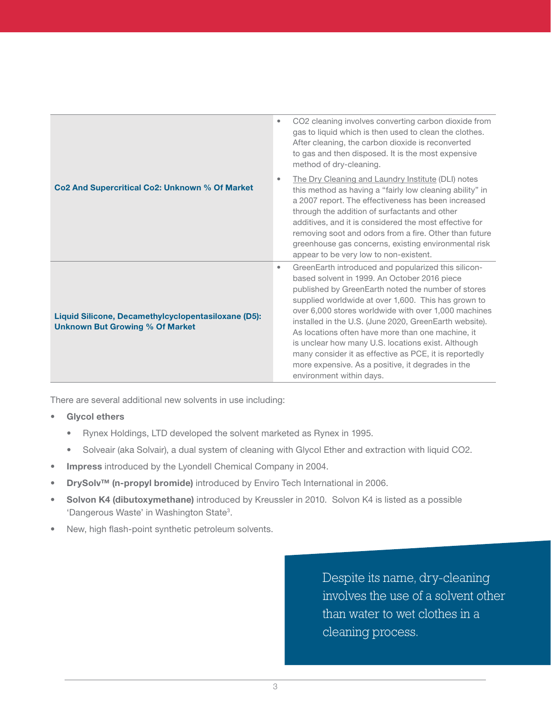|                                                                                               | CO2 cleaning involves converting carbon dioxide from<br>$\bullet$<br>gas to liquid which is then used to clean the clothes.<br>After cleaning, the carbon dioxide is reconverted<br>to gas and then disposed. It is the most expensive<br>method of dry-cleaning.                                                                                                                                                                                                                                                                                                                             |
|-----------------------------------------------------------------------------------------------|-----------------------------------------------------------------------------------------------------------------------------------------------------------------------------------------------------------------------------------------------------------------------------------------------------------------------------------------------------------------------------------------------------------------------------------------------------------------------------------------------------------------------------------------------------------------------------------------------|
| Co2 And Supercritical Co2: Unknown % Of Market                                                | The Dry Cleaning and Laundry Institute (DLI) notes<br>$\bullet$<br>this method as having a "fairly low cleaning ability" in<br>a 2007 report. The effectiveness has been increased<br>through the addition of surfactants and other<br>additives, and it is considered the most effective for<br>removing soot and odors from a fire. Other than future<br>greenhouse gas concerns, existing environmental risk<br>appear to be very low to non-existent.                                                                                                                                     |
| Liquid Silicone, Decamethylcyclopentasiloxane (D5):<br><b>Unknown But Growing % Of Market</b> | GreenEarth introduced and popularized this silicon-<br>٠<br>based solvent in 1999. An October 2016 piece<br>published by GreenEarth noted the number of stores<br>supplied worldwide at over 1,600. This has grown to<br>over 6,000 stores worldwide with over 1,000 machines<br>installed in the U.S. (June 2020, GreenEarth website).<br>As locations often have more than one machine, it<br>is unclear how many U.S. locations exist. Although<br>many consider it as effective as PCE, it is reportedly<br>more expensive. As a positive, it degrades in the<br>environment within days. |

There are several additional new solvents in use including:

- Glycol ethers
	- Rynex Holdings, LTD developed the solvent marketed as Rynex in 1995.
	- Solveair (aka Solvair), a dual system of cleaning with Glycol Ether and extraction with liquid CO2.
- Impress introduced by the Lyondell Chemical Company in 2004.
- DrySolv™ (n-propyl bromide) introduced by Enviro Tech International in 2006.
- Solvon K4 (dibutoxymethane) introduced by Kreussler in 2010. Solvon K4 is listed as a possible 'Dangerous Waste' in Washington State3.
- New, high flash-point synthetic petroleum solvents.

Despite its name, dry-cleaning involves the use of a solvent other than water to wet clothes in a cleaning process.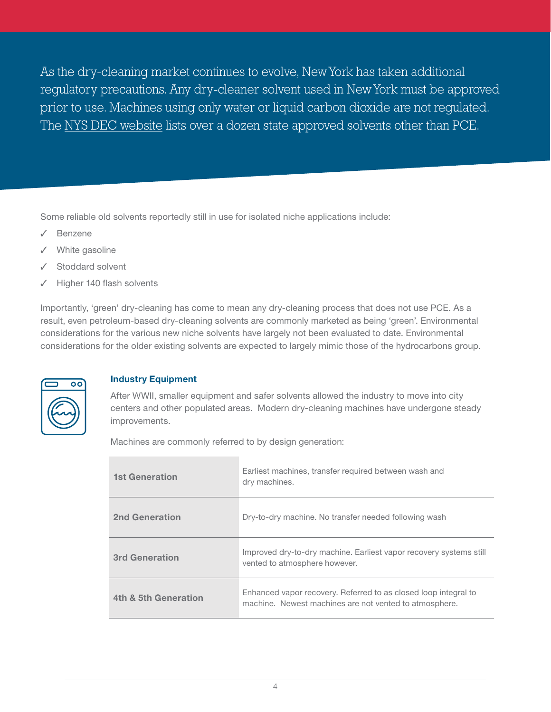As the dry-cleaning market continues to evolve, New York has taken additional regulatory precautions. Any dry-cleaner solvent used in New York must be approved prior to use. Machines using only water or liquid carbon dioxide are not regulated. The [NYS DEC website](https://www.dec.ny.gov/chemical/72273.html) lists over a dozen state approved solvents other than PCE.

Some reliable old solvents reportedly still in use for isolated niche applications include:

- **Benzene**
- ✓ White gasoline
- Stoddard solvent
- Higher 140 flash solvents

Importantly, 'green' dry-cleaning has come to mean any dry-cleaning process that does not use PCE. As a result, even petroleum-based dry-cleaning solvents are commonly marketed as being 'green'. Environmental considerations for the various new niche solvents have largely not been evaluated to date. Environmental considerations for the older existing solvents are expected to largely mimic those of the hydrocarbons group.



#### Industry Equipment

After WWII, smaller equipment and safer solvents allowed the industry to move into city centers and other populated areas. Modern dry-cleaning machines have undergone steady improvements.

Machines are commonly referred to by design generation:

| <b>1st Generation</b> | Earliest machines, transfer required between wash and<br>dry machines.                                                    |
|-----------------------|---------------------------------------------------------------------------------------------------------------------------|
| <b>2nd Generation</b> | Dry-to-dry machine. No transfer needed following wash                                                                     |
| <b>3rd Generation</b> | Improved dry-to-dry machine. Earliest vapor recovery systems still<br>vented to atmosphere however.                       |
| 4th & 5th Generation  | Enhanced vapor recovery. Referred to as closed loop integral to<br>machine. Newest machines are not vented to atmosphere. |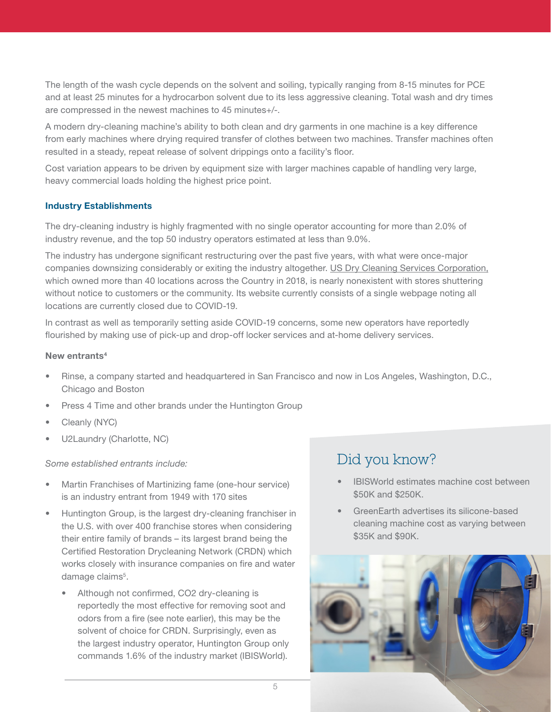The length of the wash cycle depends on the solvent and soiling, typically ranging from 8-15 minutes for PCE and at least 25 minutes for a hydrocarbon solvent due to its less aggressive cleaning. Total wash and dry times are compressed in the newest machines to 45 minutes+/-.

A modern dry-cleaning machine's ability to both clean and dry garments in one machine is a key difference from early machines where drying required transfer of clothes between two machines. Transfer machines often resulted in a steady, repeat release of solvent drippings onto a facility's floor.

Cost variation appears to be driven by equipment size with larger machines capable of handling very large, heavy commercial loads holding the highest price point.

#### Industry Establishments

The dry-cleaning industry is highly fragmented with no single operator accounting for more than 2.0% of industry revenue, and the top 50 industry operators estimated at less than 9.0%.

The industry has undergone significant restructuring over the past five years, with what were once-major companies downsizing considerably or exiting the industry altogether. [US Dry Cleaning Services Corporation,](https://www.usdrycleaning.com) which owned more than 40 locations across the Country in 2018, is nearly nonexistent with stores shuttering without notice to customers or the community. Its website currently consists of a single webpage noting all locations are currently closed due to COVID-19.

In contrast as well as temporarily setting aside COVID-19 concerns, some new operators have reportedly flourished by making use of pick-up and drop-off locker services and at-home delivery services.

#### New entrants<sup>4</sup>

- Rinse, a company started and headquartered in San Francisco and now in Los Angeles, Washington, D.C., Chicago and Boston
- Press 4 Time and other brands under the Huntington Group
- Cleanly (NYC)
- U2Laundry (Charlotte, NC)

#### *Some established entrants include:*

- Martin Franchises of Martinizing fame (one-hour service) is an industry entrant from 1949 with 170 sites
- Huntington Group, is the largest dry-cleaning franchiser in the U.S. with over 400 franchise stores when considering their entire family of brands – its largest brand being the Certified Restoration Drycleaning Network (CRDN) which works closely with insurance companies on fire and water damage claims<sup>5</sup>.
	- Although not confirmed, CO2 dry-cleaning is reportedly the most effective for removing soot and odors from a fire (see note earlier), this may be the solvent of choice for CRDN. Surprisingly, even as the largest industry operator, Huntington Group only commands 1.6% of the industry market (IBISWorld).

### Did you know?

- IBISWorld estimates machine cost between \$50K and \$250K.
- GreenEarth advertises its silicone-based cleaning machine cost as varying between \$35K and \$90K.

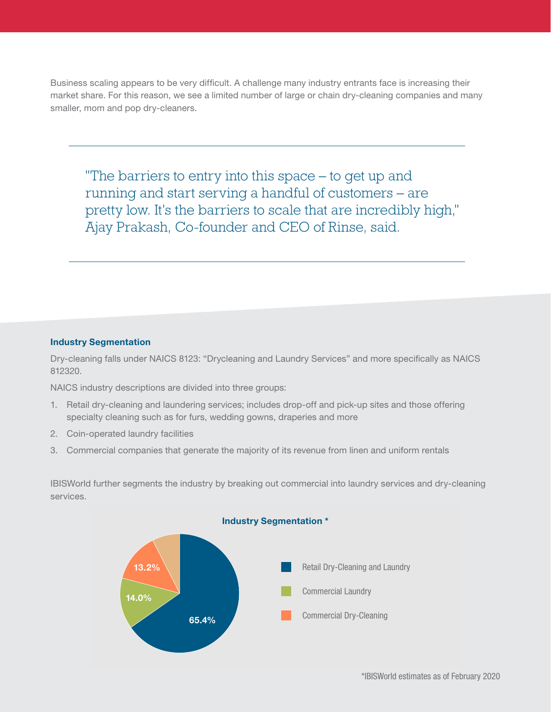Business scaling appears to be very difficult. A challenge many industry entrants face is increasing their market share. For this reason, we see a limited number of large or chain dry-cleaning companies and many smaller, mom and pop dry-cleaners.

"The barriers to entry into this space – to get up and running and start serving a handful of customers – are pretty low. It's the barriers to scale that are incredibly high," Ajay Prakash, Co-founder and CEO of Rinse, said.

#### Industry Segmentation

Dry-cleaning falls under NAICS 8123: "Drycleaning and Laundry Services" and more specifically as NAICS 812320.

NAICS industry descriptions are divided into three groups:

- 1. Retail dry-cleaning and laundering services; includes drop-off and pick-up sites and those offering specialty cleaning such as for furs, wedding gowns, draperies and more
- 2. Coin-operated laundry facilities
- 3. Commercial companies that generate the majority of its revenue from linen and uniform rentals

IBISWorld further segments the industry by breaking out commercial into laundry services and dry-cleaning services.

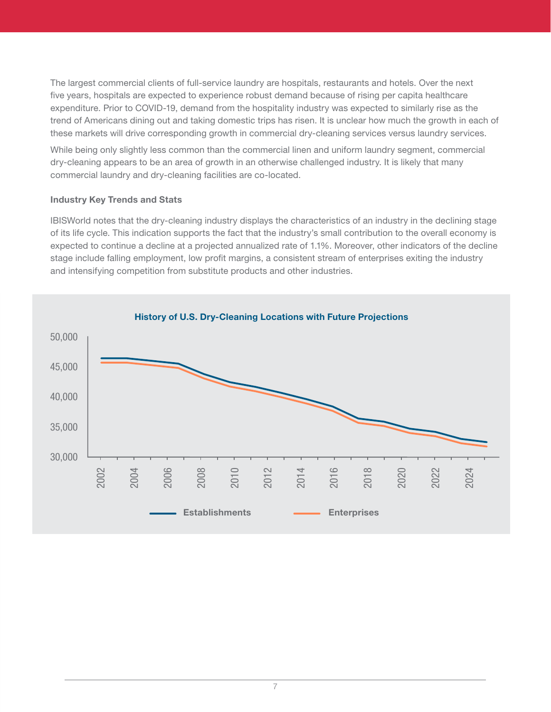The largest commercial clients of full-service laundry are hospitals, restaurants and hotels. Over the next five years, hospitals are expected to experience robust demand because of rising per capita healthcare expenditure. Prior to COVID-19, demand from the hospitality industry was expected to similarly rise as the trend of Americans dining out and taking domestic trips has risen. It is unclear how much the growth in each of these markets will drive corresponding growth in commercial dry-cleaning services versus laundry services.

While being only slightly less common than the commercial linen and uniform laundry segment, commercial dry-cleaning appears to be an area of growth in an otherwise challenged industry. It is likely that many commercial laundry and dry-cleaning facilities are co-located.

#### Industry Key Trends and Stats

IBISWorld notes that the dry-cleaning industry displays the characteristics of an industry in the declining stage of its life cycle. This indication supports the fact that the industry's small contribution to the overall economy is expected to continue a decline at a projected annualized rate of 1.1%. Moreover, other indicators of the decline stage include falling employment, low profit margins, a consistent stream of enterprises exiting the industry and intensifying competition from substitute products and other industries.

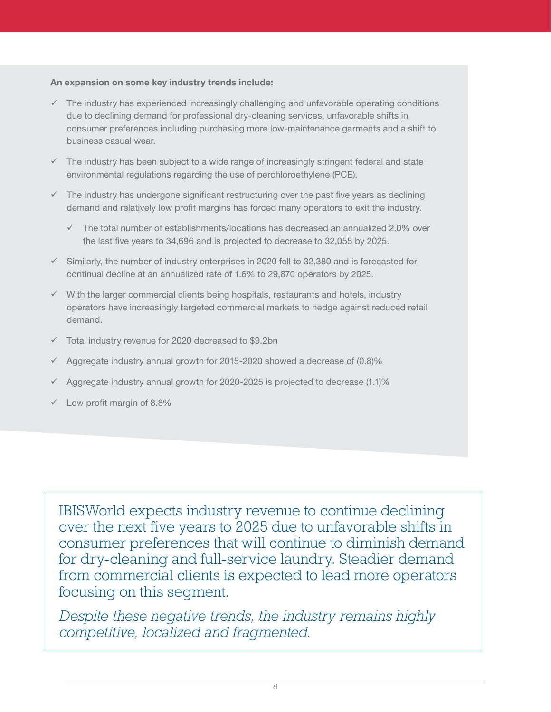#### An expansion on some key industry trends include:

- $\checkmark$  The industry has experienced increasingly challenging and unfavorable operating conditions due to declining demand for professional dry-cleaning services, unfavorable shifts in consumer preferences including purchasing more low-maintenance garments and a shift to business casual wear.
- $\checkmark$  The industry has been subject to a wide range of increasingly stringent federal and state environmental regulations regarding the use of perchloroethylene (PCE).
- $\checkmark$  The industry has undergone significant restructuring over the past five years as declining demand and relatively low profit margins has forced many operators to exit the industry.
	- $\checkmark$  The total number of establishments/locations has decreased an annualized 2.0% over the last five years to 34,696 and is projected to decrease to 32,055 by 2025.
- $\checkmark$  Similarly, the number of industry enterprises in 2020 fell to 32,380 and is forecasted for continual decline at an annualized rate of 1.6% to 29,870 operators by 2025.
- $\checkmark$  With the larger commercial clients being hospitals, restaurants and hotels, industry operators have increasingly targeted commercial markets to hedge against reduced retail demand.
- $\checkmark$  Total industry revenue for 2020 decreased to \$9.2bn
- $\sqrt{}$  Aggregate industry annual growth for 2015-2020 showed a decrease of (0.8)%
- 9 Aggregate industry annual growth for 2020-2025 is projected to decrease (1.1)%
- $\checkmark$  Low profit margin of 8.8%

IBISWorld expects industry revenue to continue declining over the next five years to 2025 due to unfavorable shifts in consumer preferences that will continue to diminish demand for dry-cleaning and full-service laundry. Steadier demand from commercial clients is expected to lead more operators focusing on this segment.

*Despite these negative trends, the industry remains highly competitive, localized and fragmented.*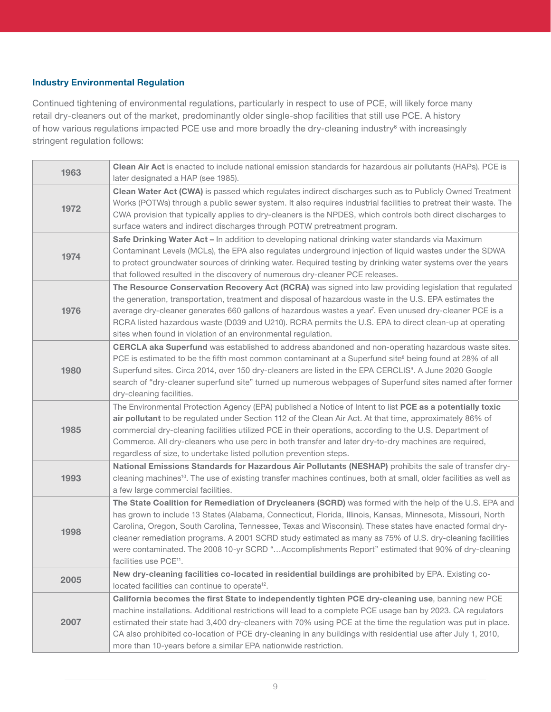#### Industry Environmental Regulation

Continued tightening of environmental regulations, particularly in respect to use of PCE, will likely force many retail dry-cleaners out of the market, predominantly older single-shop facilities that still use PCE. A history of how various regulations impacted PCE use and more broadly the dry-cleaning industry<sup>6</sup> with increasingly stringent regulation follows:

| 1963 | Clean Air Act is enacted to include national emission standards for hazardous air pollutants (HAPs). PCE is<br>later designated a HAP (see 1985).                                                                                                                                                                                                                                                                                                                                                                                                                                         |
|------|-------------------------------------------------------------------------------------------------------------------------------------------------------------------------------------------------------------------------------------------------------------------------------------------------------------------------------------------------------------------------------------------------------------------------------------------------------------------------------------------------------------------------------------------------------------------------------------------|
| 1972 | Clean Water Act (CWA) is passed which regulates indirect discharges such as to Publicly Owned Treatment<br>Works (POTWs) through a public sewer system. It also requires industrial facilities to pretreat their waste. The<br>CWA provision that typically applies to dry-cleaners is the NPDES, which controls both direct discharges to<br>surface waters and indirect discharges through POTW pretreatment program.                                                                                                                                                                   |
| 1974 | Safe Drinking Water Act - In addition to developing national drinking water standards via Maximum<br>Contaminant Levels (MCLs), the EPA also regulates underground injection of liquid wastes under the SDWA<br>to protect groundwater sources of drinking water. Required testing by drinking water systems over the years<br>that followed resulted in the discovery of numerous dry-cleaner PCE releases.                                                                                                                                                                              |
| 1976 | The Resource Conservation Recovery Act (RCRA) was signed into law providing legislation that regulated<br>the generation, transportation, treatment and disposal of hazardous waste in the U.S. EPA estimates the<br>average dry-cleaner generates 660 gallons of hazardous wastes a year <sup>7</sup> . Even unused dry-cleaner PCE is a<br>RCRA listed hazardous waste (D039 and U210). RCRA permits the U.S. EPA to direct clean-up at operating<br>sites when found in violation of an environmental regulation.                                                                      |
| 1980 | CERCLA aka Superfund was established to address abandoned and non-operating hazardous waste sites.<br>PCE is estimated to be the fifth most common contaminant at a Superfund site <sup>8</sup> being found at 28% of all<br>Superfund sites. Circa 2014, over 150 dry-cleaners are listed in the EPA CERCLIS <sup>9</sup> . A June 2020 Google<br>search of "dry-cleaner superfund site" turned up numerous webpages of Superfund sites named after former<br>dry-cleaning facilities.                                                                                                   |
| 1985 | The Environmental Protection Agency (EPA) published a Notice of Intent to list PCE as a potentially toxic<br>air pollutant to be regulated under Section 112 of the Clean Air Act. At that time, approximately 86% of<br>commercial dry-cleaning facilities utilized PCE in their operations, according to the U.S. Department of<br>Commerce. All dry-cleaners who use perc in both transfer and later dry-to-dry machines are required,<br>regardless of size, to undertake listed pollution prevention steps.                                                                          |
| 1993 | National Emissions Standards for Hazardous Air Pollutants (NESHAP) prohibits the sale of transfer dry-<br>cleaning machines <sup>10</sup> . The use of existing transfer machines continues, both at small, older facilities as well as<br>a few large commercial facilities.                                                                                                                                                                                                                                                                                                             |
| 1998 | The State Coalition for Remediation of Drycleaners (SCRD) was formed with the help of the U.S. EPA and<br>has grown to include 13 States (Alabama, Connecticut, Florida, Illinois, Kansas, Minnesota, Missouri, North<br>Carolina, Oregon, South Carolina, Tennessee, Texas and Wisconsin). These states have enacted formal dry-<br>cleaner remediation programs. A 2001 SCRD study estimated as many as 75% of U.S. dry-cleaning facilities<br>were contaminated. The 2008 10-yr SCRD "Accomplishments Report" estimated that 90% of dry-cleaning<br>facilities use PCE <sup>11</sup> . |
| 2005 | New dry-cleaning facilities co-located in residential buildings are prohibited by EPA. Existing co-<br>located facilities can continue to operate <sup>12</sup> .                                                                                                                                                                                                                                                                                                                                                                                                                         |
| 2007 | California becomes the first State to independently tighten PCE dry-cleaning use, banning new PCE<br>machine installations. Additional restrictions will lead to a complete PCE usage ban by 2023. CA regulators<br>estimated their state had 3,400 dry-cleaners with 70% using PCE at the time the regulation was put in place.<br>CA also prohibited co-location of PCE dry-cleaning in any buildings with residential use after July 1, 2010,<br>more than 10-years before a similar EPA nationwide restriction.                                                                       |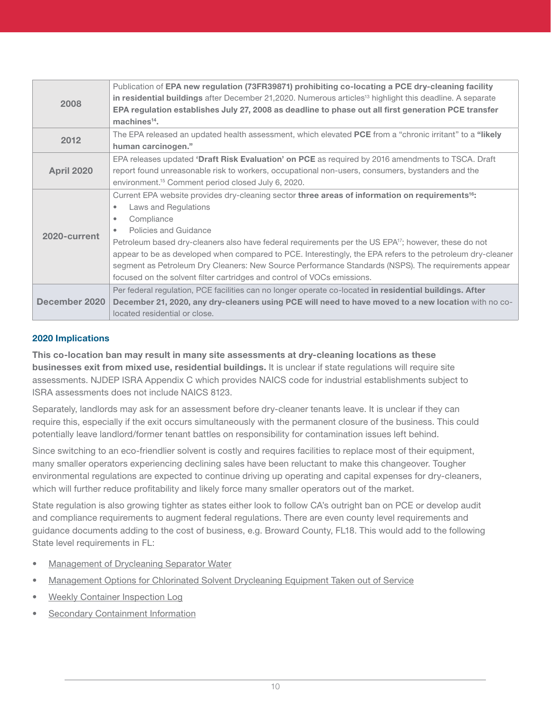| 2008              | Publication of EPA new regulation (73FR39871) prohibiting co-locating a PCE dry-cleaning facility<br>in residential buildings after December 21, 2020. Numerous articles <sup>13</sup> highlight this deadline. A separate<br>EPA regulation establishes July 27, 2008 as deadline to phase out all first generation PCE transfer<br>$machines14$ .                                                                                                                                                                                                                                            |
|-------------------|------------------------------------------------------------------------------------------------------------------------------------------------------------------------------------------------------------------------------------------------------------------------------------------------------------------------------------------------------------------------------------------------------------------------------------------------------------------------------------------------------------------------------------------------------------------------------------------------|
| 2012              | The EPA released an updated health assessment, which elevated PCE from a "chronic irritant" to a "likely<br>human carcinogen."                                                                                                                                                                                                                                                                                                                                                                                                                                                                 |
| <b>April 2020</b> | EPA releases updated 'Draft Risk Evaluation' on PCE as required by 2016 amendments to TSCA. Draft<br>report found unreasonable risk to workers, occupational non-users, consumers, bystanders and the<br>environment. <sup>15</sup> Comment period closed July 6, 2020.                                                                                                                                                                                                                                                                                                                        |
| 2020-current      | Current EPA website provides dry-cleaning sector three areas of information on requirements <sup>16</sup> :<br>Laws and Regulations<br>Compliance<br>Policies and Guidance<br>Petroleum based dry-cleaners also have federal requirements per the US EPA <sup>17</sup> ; however, these do not<br>appear to be as developed when compared to PCE. Interestingly, the EPA refers to the petroleum dry-cleaner<br>segment as Petroleum Dry Cleaners: New Source Performance Standards (NSPS). The requirements appear<br>focused on the solvent filter cartridges and control of VOCs emissions. |
| December 2020     | Per federal regulation, PCE facilities can no longer operate co-located in residential buildings. After<br>December 21, 2020, any dry-cleaners using PCE will need to have moved to a new location with no co-<br>located residential or close.                                                                                                                                                                                                                                                                                                                                                |

#### 2020 Implications

This co-location ban may result in many site assessments at dry-cleaning locations as these businesses exit from mixed use, residential buildings. It is unclear if state regulations will require site assessments. NJDEP ISRA Appendix C which provides NAICS code for industrial establishments subject to ISRA assessments does not include NAICS 8123.

Separately, landlords may ask for an assessment before dry-cleaner tenants leave. It is unclear if they can require this, especially if the exit occurs simultaneously with the permanent closure of the business. This could potentially leave landlord/former tenant battles on responsibility for contamination issues left behind.

Since switching to an eco-friendlier solvent is costly and requires facilities to replace most of their equipment, many smaller operators experiencing declining sales have been reluctant to make this changeover. Tougher environmental regulations are expected to continue driving up operating and capital expenses for dry-cleaners, which will further reduce profitability and likely force many smaller operators out of the market.

State regulation is also growing tighter as states either look to follow CA's outright ban on PCE or develop audit and compliance requirements to augment federal regulations. There are even county level requirements and guidance documents adding to the cost of business, e.g. Broward County, FL18. This would add to the following State level requirements in FL:

- [Management of Drycleaning Separator Water](https://depedms.dep.state.fl.us/Oculus/servlet/shell?command=getEntity&%5bguid=2.403024.1%5d&%5bprofile=DWM%20Historical%20Repository%5d)
- [Management Options for Chlorinated Solvent Drycleaning Equipment Taken out of Service](https://depedms.dep.state.fl.us/Oculus/servlet/shell?command=getEntity&%5bguid=2.402971.1%5d&%5bprofile=DWM%20Historical%20Repository%5d)
- [Weekly Container Inspection Log](https://depedms.dep.state.fl.us/Oculus/servlet/shell?command=getEntity&%5bguid=2.403136.1%5d&%5bprofile=DWM%20Historical%20Repository%5d)
- [Secondary Containment Information](https://floridadep.gov/waste/permitting-compliance-assistance/documents/secondary-containment-information)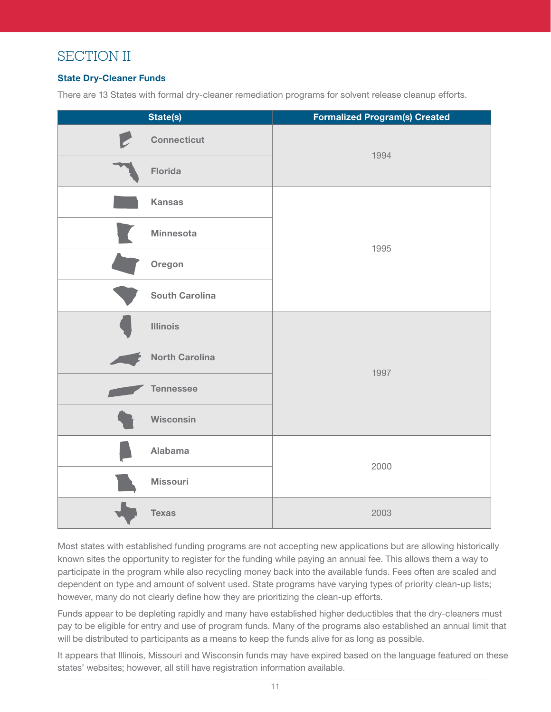## SECTION II

#### State Dry-Cleaner Funds

There are 13 States with formal dry-cleaner remediation programs for solvent release cleanup efforts.

| State(s)                | <b>Formalized Program(s) Created</b> |
|-------------------------|--------------------------------------|
| P<br><b>Connecticut</b> | 1994                                 |
| Florida                 |                                      |
| <b>Kansas</b>           |                                      |
| <b>Minnesota</b>        |                                      |
| Oregon                  | 1995                                 |
| <b>South Carolina</b>   |                                      |
| <b>Illinois</b>         | 1997                                 |
| <b>North Carolina</b>   |                                      |
| <b>Tennessee</b>        |                                      |
| Wisconsin               |                                      |
| <b>Alabama</b>          | 2000                                 |
| <b>Missouri</b>         |                                      |
| <b>Texas</b>            | 2003                                 |

Most states with established funding programs are not accepting new applications but are allowing historically known sites the opportunity to register for the funding while paying an annual fee. This allows them a way to participate in the program while also recycling money back into the available funds. Fees often are scaled and dependent on type and amount of solvent used. State programs have varying types of priority clean-up lists; however, many do not clearly define how they are prioritizing the clean-up efforts.

Funds appear to be depleting rapidly and many have established higher deductibles that the dry-cleaners must pay to be eligible for entry and use of program funds. Many of the programs also established an annual limit that will be distributed to participants as a means to keep the funds alive for as long as possible.

It appears that Illinois, Missouri and Wisconsin funds may have expired based on the language featured on these states' websites; however, all still have registration information available.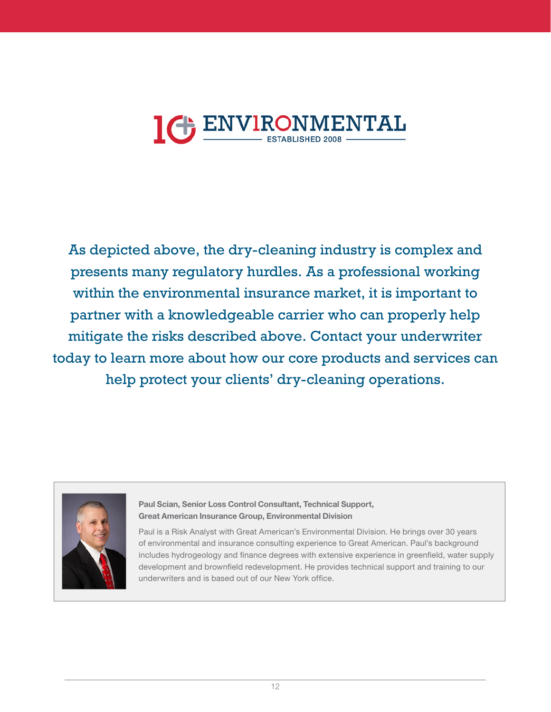# **IGENVIRONMENTAL**

As depicted above, the dry-cleaning industry is complex and presents many regulatory hurdles. As a professional working within the environmental insurance market, it is important to partner with a knowledgeable carrier who can properly help mitigate the risks described above. Contact your underwriter today to learn more about how our core products and services can help protect your clients' dry-cleaning operations.



Paul Scian, Senior Loss Control Consultant, Technical Support, Great American Insurance Group, Environmental Division

Paul is a Risk Analyst with Great American's Environmental Division. He brings over 30 years of environmental and insurance consulting experience to Great American. Paul's background includes hydrogeology and finance degrees with extensive experience in greenfield, water supply development and brownfield redevelopment. He provides technical support and training to our underwriters and is based out of our New York office.